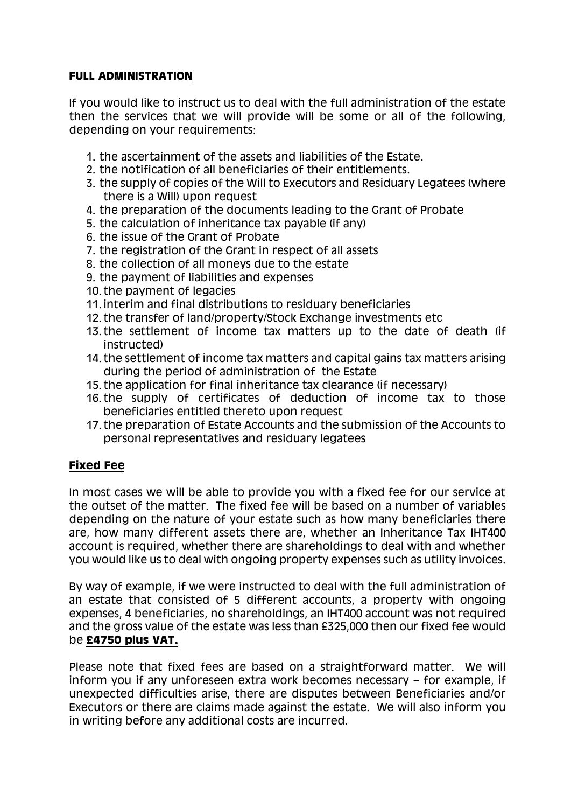# **FULL ADMINISTRATION**

If you would like to instruct us to deal with the full administration of the estate then the services that we will provide will be some or all of the following, depending on your requirements:

- 1. the ascertainment of the assets and liabilities of the Estate.
- 2. the notification of all beneficiaries of their entitlements.
- 3. the supply of copies of the Will to Executors and Residuary Legatees (where there is a Will) upon request
- 4. the preparation of the documents leading to the Grant of Probate
- 5. the calculation of inheritance tax payable (if any)
- 6. the issue of the Grant of Probate
- 7. the registration of the Grant in respect of all assets
- 8. the collection of all moneys due to the estate
- 9. the payment of liabilities and expenses
- 10. the payment of legacies
- 11. interim and final distributions to residuary beneficiaries
- 12. the transfer of land/property/Stock Exchange investments etc
- 13. the settlement of income tax matters up to the date of death (if instructed)
- 14. the settlement of income tax matters and capital gains tax matters arising during the period of administration of the Estate
- 15. the application for final inheritance tax clearance (if necessary)
- 16. the supply of certificates of deduction of income tax to those beneficiaries entitled thereto upon request
- 17. the preparation of Estate Accounts and the submission of the Accounts to personal representatives and residuary legatees

# **Fixed Fee**

In most cases we will be able to provide you with a fixed fee for our service at the outset of the matter. The fixed fee will be based on a number of variables depending on the nature of your estate such as how many beneficiaries there are, how many different assets there are, whether an Inheritance Tax IHT400 account is required, whether there are shareholdings to deal with and whether you would like us to deal with ongoing property expenses such as utility invoices.

By way of example, if we were instructed to deal with the full administration of an estate that consisted of 5 different accounts, a property with ongoing expenses, 4 beneficiaries, no shareholdings, an IHT400 account was not required and the gross value of the estate was less than £325,000 then our fixed fee would be **£4750 plus VAT.**

Please note that fixed fees are based on a straightforward matter. We will inform you if any unforeseen extra work becomes necessary – for example, if unexpected difficulties arise, there are disputes between Beneficiaries and/or Executors or there are claims made against the estate. We will also inform you in writing before any additional costs are incurred.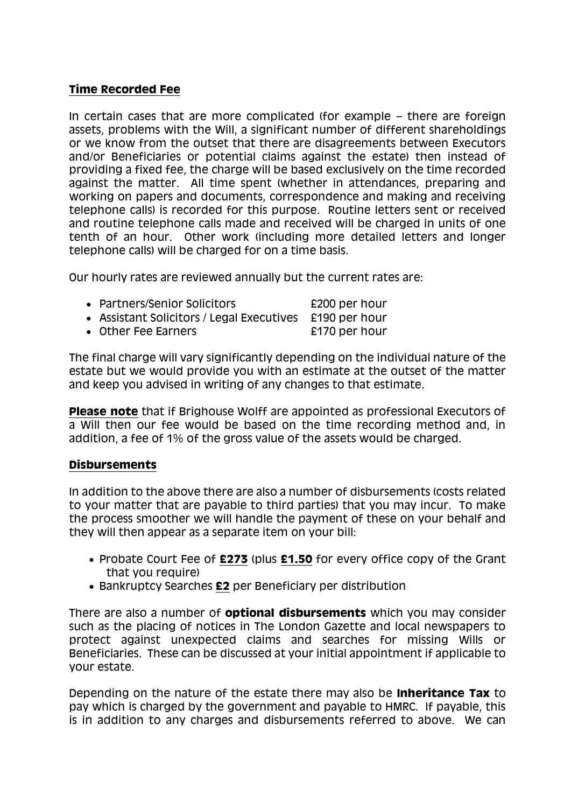### **Time Recorded Fee**

In certain cases that are more complicated (for example – there are foreign assets, problems with the Will, a significant number of different shareholdings or we know from the outset that there are disagreements between Executors and/or Beneficiaries or potential claims against the estate) then instead of providing a fixed fee, the charge will be based exclusively on the time recorded against the matter. All time spent (whether in attendances, preparing and working on papers and documents, correspondence and making and receiving telephone calls) is recorded for this purpose. Routine letters sent or received and routine telephone calls made and received will be charged in units of one tenth of an hour. Other work (including more detailed letters and longer telephone calls) will be charged for on a time basis.

Our hourly rates are reviewed annually but the current rates are:

| • Partners/Senior Solicitors                            | £200 per hour |
|---------------------------------------------------------|---------------|
| • Assistant Solicitors / Legal Executives £190 per hour |               |

• Other Fee Earners **E170** per hour

The final charge will vary significantly depending on the individual nature of the estate but we would provide you with an estimate at the outset of the matter and keep you advised in writing of any changes to that estimate.

**Please note** that if Brighouse Wolff are appointed as professional Executors of a Will then our fee would be based on the time recording method and, in addition, a fee of 1% of the gross value of the assets would be charged.

# **Disbursements**

In addition to the above there are also a number of disbursements (costs related to your matter that are payable to third parties) that you may incur. To make the process smoother we will handle the payment of these on your behalf and they will then appear as a separate item on your bill:

- Probate Court Fee of **£273** (plus **£1.50** for every office copy of the Grant that you require)
- Bankruptcy Searches **£2** per Beneficiary per distribution

There are also a number of **optional disbursements** which you may consider such as the placing of notices in The London Gazette and local newspapers to protect against unexpected claims and searches for missing Wills or Beneficiaries. These can be discussed at your initial appointment if applicable to your estate.

Depending on the nature of the estate there may also be **Inheritance Tax** to pay which is charged by the government and payable to HMRC. If payable, this is in addition to any charges and disbursements referred to above. We can